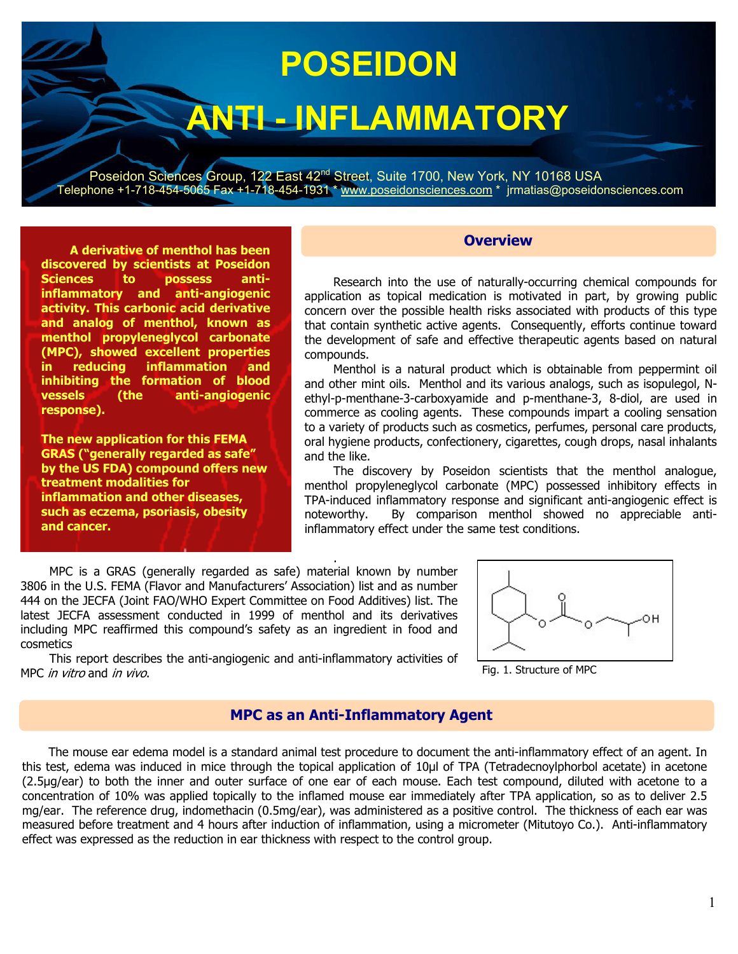# **POSEIDON**

## **ANTI - INFLAMMATORY**

Poseidon Sciences Group, 122 East 42<sup>nd</sup> Street, Suite 1700, New York, NY 10168 USA Telephone +1-718-454-5065 Fax +1-718-454-1931 \* www.poseidonsciences.com \* jrmatias@poseidonsciences.com

**Overview** 

**A derivative of menthol has been discovered by scientists at Poseidon Sciences to possess antiinflammatory and anti-angiogenic activity. This carbonic acid derivative and analog of menthol, known as menthol propyleneglycol carbonate (MPC), showed excellent properties in reducing inflammation and inhibiting the formation of blood vessels (the anti-angiogenic response).** 

**The new application for this FEMA GRAS ("generally regarded as safe" by the US FDA) compound offers new treatment modalities for inflammation and other diseases, such as eczema, psoriasis, obesity and cancer.** 

Research into the use of naturally-occurring chemical compounds for application as topical medication is motivated in part, by growing public concern over the possible health risks associated with products of this type that contain synthetic active agents. Consequently, efforts continue toward the development of safe and effective therapeutic agents based on natural compounds.

Menthol is a natural product which is obtainable from peppermint oil and other mint oils. Menthol and its various analogs, such as isopulegol, Nethyl-p-menthane-3-carboxyamide and p-menthane-3, 8-diol, are used in commerce as cooling agents. These compounds impart a cooling sensation to a variety of products such as cosmetics, perfumes, personal care products, oral hygiene products, confectionery, cigarettes, cough drops, nasal inhalants and the like.

The discovery by Poseidon scientists that the menthol analogue, menthol propyleneglycol carbonate (MPC) possessed inhibitory effects in TPA-induced inflammatory response and significant anti-angiogenic effect is noteworthy. By comparison menthol showed no appreciable antiinflammatory effect under the same test conditions.

MPC is a GRAS (generally regarded as safe) material known by number 3806 in the U.S. FEMA (Flavor and Manufacturers' Association) list and as number 444 on the JECFA (Joint FAO/WHO Expert Committee on Food Additives) list. The latest JECFA assessment conducted in 1999 of menthol and its derivatives including MPC reaffirmed this compound's safety as an ingredient in food and cosmetics



This report describes the anti-angiogenic and anti-inflammatory activities of MPC in vitro and in vivo.



#### **MPC as an Anti-Inflammatory Agent**

.

 The mouse ear edema model is a standard animal test procedure to document the anti-inflammatory effect of an agent. In this test, edema was induced in mice through the topical application of 10µl of TPA (Tetradecnoylphorbol acetate) in acetone (2.5µg/ear) to both the inner and outer surface of one ear of each mouse. Each test compound, diluted with acetone to a concentration of 10% was applied topically to the inflamed mouse ear immediately after TPA application, so as to deliver 2.5 mg/ear. The reference drug, indomethacin (0.5mg/ear), was administered as a positive control. The thickness of each ear was measured before treatment and 4 hours after induction of inflammation, using a micrometer (Mitutoyo Co.). Anti-inflammatory effect was expressed as the reduction in ear thickness with respect to the control group.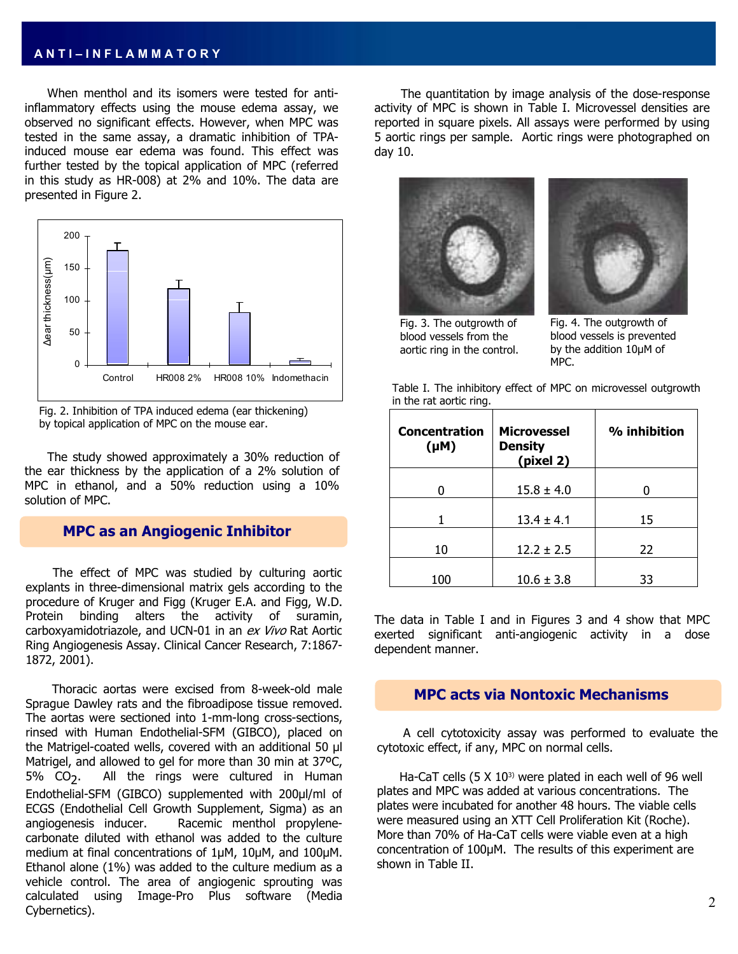#### **A N T I – I N F L A M M A T O R Y**

 When menthol and its isomers were tested for antiinflammatory effects using the mouse edema assay, we observed no significant effects. However, when MPC was tested in the same assay, a dramatic inhibition of TPAinduced mouse ear edema was found. This effect was further tested by the topical application of MPC (referred in this study as HR-008) at 2% and 10%. The data are presented in Figure 2.





 The study showed approximately a 30% reduction of the ear thickness by the application of a 2% solution of MPC in ethanol, and a 50% reduction using a 10% solution of MPC.

#### **MPC as an Angiogenic Inhibitor**

 The effect of MPC was studied by culturing aortic explants in three-dimensional matrix gels according to the procedure of Kruger and Figg (Kruger E.A. and Figg, W.D. Protein binding alters the activity of suramin, carboxyamidotriazole, and UCN-01 in an ex Vivo Rat Aortic Ring Angiogenesis Assay. Clinical Cancer Research, 7:1867- 1872, 2001).

 Thoracic aortas were excised from 8-week-old male Sprague Dawley rats and the fibroadipose tissue removed. The aortas were sectioned into 1-mm-long cross-sections, rinsed with Human Endothelial-SFM (GIBCO), placed on the Matrigel-coated wells, covered with an additional 50 µl Matrigel, and allowed to gel for more than 30 min at 37ºC, 5% CO<sub>2</sub>. All the rings were cultured in Human Endothelial-SFM (GIBCO) supplemented with 200µl/ml of ECGS (Endothelial Cell Growth Supplement, Sigma) as an angiogenesis inducer. Racemic menthol propylenecarbonate diluted with ethanol was added to the culture medium at final concentrations of 1µM, 10µM, and 100µM. Ethanol alone (1%) was added to the culture medium as a vehicle control. The area of angiogenic sprouting was calculated using Image-Pro Plus software (Media Cybernetics).

 The quantitation by image analysis of the dose-response activity of MPC is shown in Table I. Microvessel densities are reported in square pixels. All assays were performed by using 5 aortic rings per sample. Aortic rings were photographed on day 10.





Fig. 4. The outgrowth of blood vessels is prevented by the addition 10µM of MPC.

Table I. The inhibitory effect of MPC on microvessel outgrowth in the rat aortic ring.

| <b>Concentration</b><br>$(\mu M)$ | <b>Microvessel</b><br><b>Density</b><br>(pixel 2) | % inhibition |  |  |
|-----------------------------------|---------------------------------------------------|--------------|--|--|
|                                   | $15.8 \pm 4.0$                                    |              |  |  |
|                                   | $13.4 \pm 4.1$                                    | 15           |  |  |
| 10                                | $12.2 \pm 2.5$                                    | 22           |  |  |
| 100                               | $10.6 \pm 3.8$                                    | 33           |  |  |

The data in Table I and in Figures 3 and 4 show that MPC exerted significant anti-angiogenic activity in a dose dependent manner.

#### **MPC acts via Nontoxic Mechanisms**

 A cell cytotoxicity assay was performed to evaluate the cytotoxic effect, if any, MPC on normal cells.

Ha-CaT cells  $(5 \times 10^{3})$  were plated in each well of 96 well plates and MPC was added at various concentrations. The plates were incubated for another 48 hours. The viable cells were measured using an XTT Cell Proliferation Kit (Roche). More than 70% of Ha-CaT cells were viable even at a high concentration of 100µM. The results of this experiment are shown in Table II.